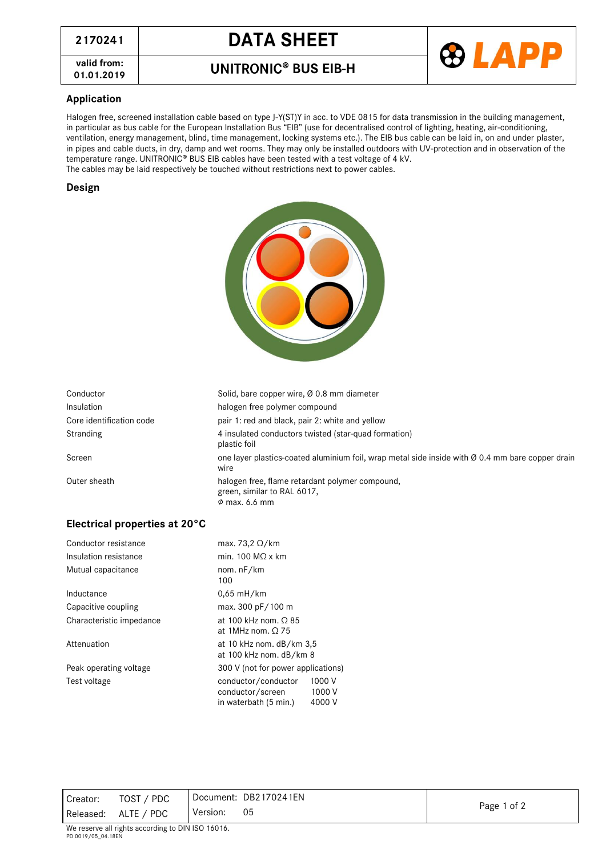# **<sup>2170241</sup> DATA SHEET**

**valid from:**

### **01.01.2019 BUS EIB-H .**



#### **Application**

Halogen free, screened installation cable based on type J-Y(ST)Y in acc. to VDE 0815 for data transmission in the building management, in particular as bus cable for the European Installation Bus "EIB" (use for decentralised control of lighting, heating, air-conditioning, ventilation, energy management, blind, time management, locking systems etc.). The EIB bus cable can be laid in, on and under plaster, in pipes and cable ducts, in dry, damp and wet rooms. They may only be installed outdoors with UV-protection and in observation of the temperature range. UNITRONIC® BUS EIB cables have been tested with a test voltage of 4 kV. The cables may be laid respectively be touched without restrictions next to power cables.

the company of the company

#### **Design**

| Conductor                | Solid, bare copper wire, Ø 0.8 mm diameter                                                               |
|--------------------------|----------------------------------------------------------------------------------------------------------|
| Insulation               | halogen free polymer compound                                                                            |
| Core identification code | pair 1: red and black, pair 2: white and yellow                                                          |
| Stranding                | 4 insulated conductors twisted (star-quad formation)<br>plastic foil                                     |
| Screen                   | one layer plastics-coated aluminium foil, wrap metal side inside with Ø 0.4 mm bare copper drain<br>wire |
| Outer sheath             | halogen free, flame retardant polymer compound,<br>green, similar to RAL 6017,<br>$\phi$ max. 6.6 mm     |

#### **Electrical properties at 20°C**

| Conductor resistance     | max. 73,2 $\Omega$ /km                                                                         |  |  |
|--------------------------|------------------------------------------------------------------------------------------------|--|--|
| Insulation resistance    | min. 100 $MO \times$ km                                                                        |  |  |
| Mutual capacitance       | nom. nF/km<br>100                                                                              |  |  |
| Inductance               | $0.65$ mH/km                                                                                   |  |  |
| Capacitive coupling      | max. 300 pF/100 m                                                                              |  |  |
| Characteristic impedance | at 100 kHz nom, $\Omega$ 85<br>at 1MHz nom, $\Omega$ 75                                        |  |  |
| Attenuation              | at 10 kHz nom. dB/km 3,5<br>at 100 kHz nom. dB/km 8                                            |  |  |
| Peak operating voltage   | 300 V (not for power applications)                                                             |  |  |
| Test voltage             | 1000 V<br>conductor/conductor<br>1000 V<br>conductor/screen<br>in waterbath (5 min.)<br>4000 V |  |  |

| Creator:  | TOST / PDC | Document: DB2170241EN |             |
|-----------|------------|-----------------------|-------------|
| Released: | ALTE / PDC | 05<br>Version:        | Page 1 of 2 |